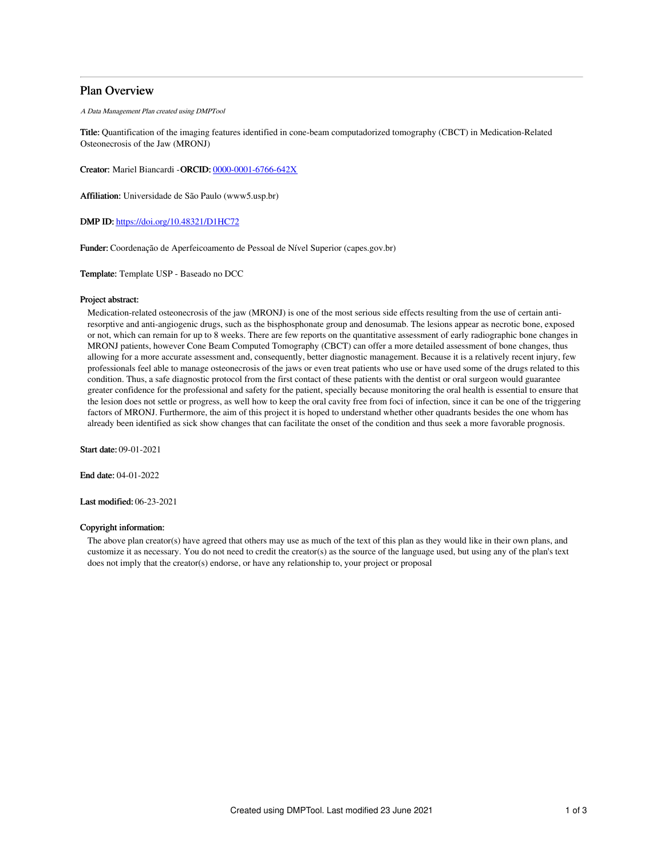# Plan Overview

A Data Management Plan created using DMPTool

Title: Quantification of the imaging features identified in cone-beam computadorized tomography (CBCT) in Medication-Related Osteonecrosis of the Jaw (MRONJ)

Creator: Mariel Biancardi -ORCID: [0000-0001-6766-642X](https://orcid.org/0000-0001-6766-642X)

Affiliation: Universidade de São Paulo (www5.usp.br)

DMP ID: <https://doi.org/10.48321/D1HC72>

Funder: Coordenação de Aperfeicoamento de Pessoal de Nível Superior (capes.gov.br)

Template: Template USP - Baseado no DCC

#### Project abstract:

Medication-related osteonecrosis of the jaw (MRONJ) is one of the most serious side effects resulting from the use of certain antiresorptive and anti-angiogenic drugs, such as the bisphosphonate group and denosumab. The lesions appear as necrotic bone, exposed or not, which can remain for up to 8 weeks. There are few reports on the quantitative assessment of early radiographic bone changes in MRONJ patients, however Cone Beam Computed Tomography (CBCT) can offer a more detailed assessment of bone changes, thus allowing for a more accurate assessment and, consequently, better diagnostic management. Because it is a relatively recent injury, few professionals feel able to manage osteonecrosis of the jaws or even treat patients who use or have used some of the drugs related to this condition. Thus, a safe diagnostic protocol from the first contact of these patients with the dentist or oral surgeon would guarantee greater confidence for the professional and safety for the patient, specially because monitoring the oral health is essential to ensure that the lesion does not settle or progress, as well how to keep the oral cavity free from foci of infection, since it can be one of the triggering factors of MRONJ. Furthermore, the aim of this project it is hoped to understand whether other quadrants besides the one whom has already been identified as sick show changes that can facilitate the onset of the condition and thus seek a more favorable prognosis.

Start date: 09-01-2021

End date: 04-01-2022

Last modified: 06-23-2021

## Copyright information:

The above plan creator(s) have agreed that others may use as much of the text of this plan as they would like in their own plans, and customize it as necessary. You do not need to credit the creator(s) as the source of the language used, but using any of the plan's text does not imply that the creator(s) endorse, or have any relationship to, your project or proposal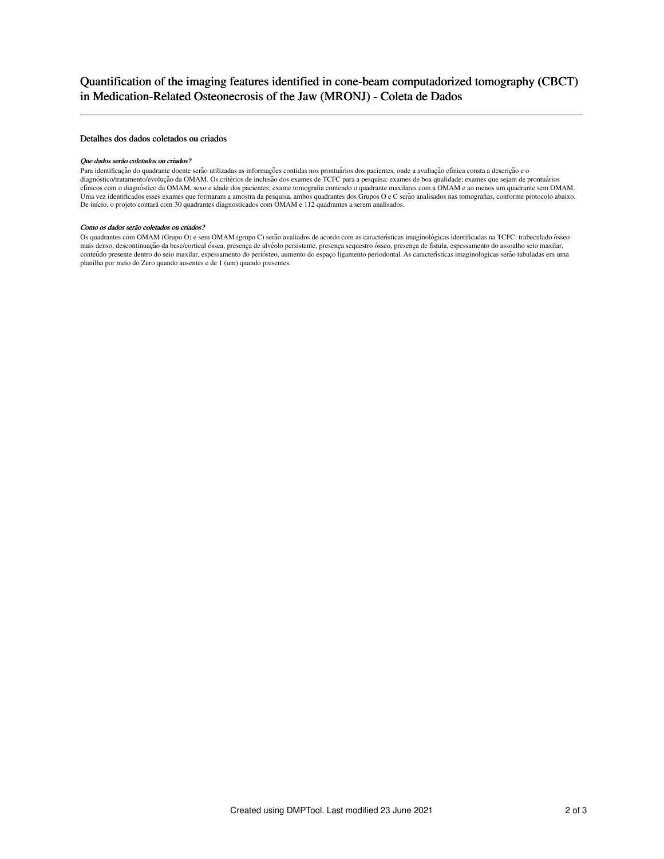### Detalhes dos dados coletados ou criados

#### Que dados serão coletados ou criados?

Para identificação do quadrante doente serão utilizadas as informações contidas nos prontuários dos pacientes, onde a avaliação clínica consta a descrição e o diagnóstico/tratamento/evolução da OMAM. Os critérios de inclusão dos exames de TCFC para a pesquisa: exames de boa qualidade; exames que sejam de prontuários clínicos com o diagnóstico da OMAM, sexo e idade dos pacientes; exame tomografia contendo o quadrante maxilares com a OMAM e ao menos um quadrante sem OMAM. Uma vez identificados esses exames que formaram a amostra da pesquisa, ambos quadrantes dos Grupos O e C serão analisados nas tomografias, conforme protocolo abaixo. De início, o projeto contará com 30 quadrantes diagnosticados com OMAM e 112 quadrantes a serem analisados.

#### Como os dados serão coletados ou criados?

Os quadrantes com OMAM (Grupo O) e sem OMAM (grupo C) serão avaliados de acordo com as características imaginológicas identificadas na TCFC: trabeculado ósseo mais denso, descontinuação da base/cortical óssea, presença de alvéolo persistente, presença sequestro ósseo, presença de fistula, espessamento do assoalho seio maxilar, conteúdo presente dentro do seio maxilar, espessamento do periósteo, aumento do espaço ligamento periodontal. As características imaginologicas serão tabuladas em uma planilha por meio do Zero quando ausentes e de 1 (um) quando presentes.